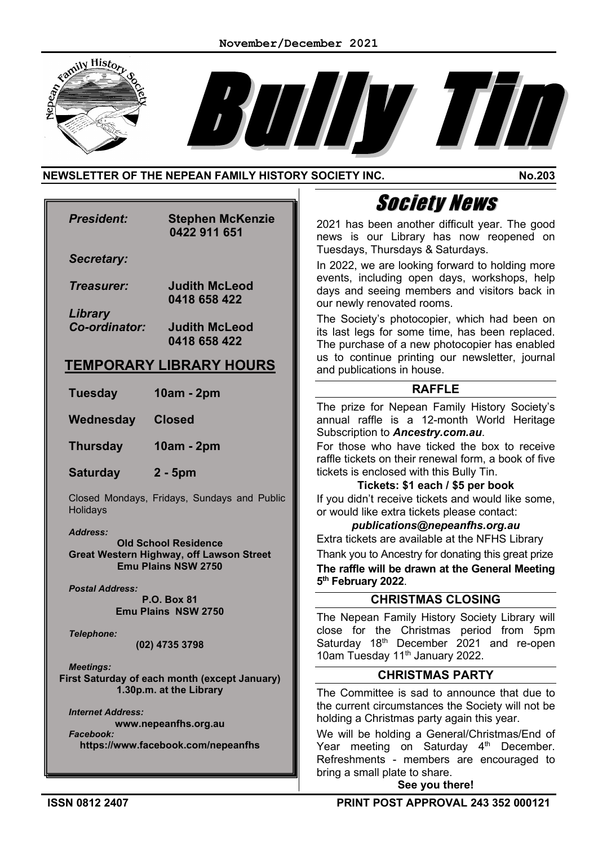



## **NEWSLETTER OF THE NEPEAN FAMILY HISTORY SOCIETY INC. No.203**

|                                                                                                    | <b>Society News</b>                                                                                                                                                                                 |
|----------------------------------------------------------------------------------------------------|-----------------------------------------------------------------------------------------------------------------------------------------------------------------------------------------------------|
| <b>President:</b><br><b>Stephen McKenzie</b><br>0422 911 651                                       | 2021 has been another difficult year. The good<br>news is our Library has now reopened on<br>Tuesdays, Thursdays & Saturdays.                                                                       |
| <b>Secretary:</b>                                                                                  | In 2022, we are looking forward to holding more                                                                                                                                                     |
| <b>Judith McLeod</b><br>Treasurer:<br>0418 658 422                                                 | events, including open days, workshops, help<br>days and seeing members and visitors back in<br>our newly renovated rooms.                                                                          |
| Library<br>Co-ordinator:<br><b>Judith McLeod</b><br>0418 658 422<br><b>TEMPORARY LIBRARY HOURS</b> | The Society's photocopier, which had been on<br>its last legs for some time, has been replaced.<br>The purchase of a new photocopier has enabled<br>us to continue printing our newsletter, journal |
|                                                                                                    | and publications in house.                                                                                                                                                                          |
| <b>Tuesday</b><br>10am - 2pm                                                                       | <b>RAFFLE</b>                                                                                                                                                                                       |
| Wednesday<br><b>Closed</b>                                                                         | The prize for Nepean Family History Society's<br>annual raffle is a 12-month World Heritage<br>Subscription to Ancestry.com.au.                                                                     |
| <b>Thursday</b><br>10am - 2pm                                                                      | For those who have ticked the box to receive<br>raffle tickets on their renewal form, a book of five                                                                                                |
| <b>Saturday</b><br>$2 - 5pm$                                                                       | tickets is enclosed with this Bully Tin.<br>Tickets: \$1 each / \$5 per book                                                                                                                        |
| Closed Mondays, Fridays, Sundays and Public                                                        | If you didn't receive tickets and would like some,                                                                                                                                                  |
| Holidays                                                                                           | or would like extra tickets please contact:<br>publications@nepeanfhs.org.au                                                                                                                        |
| <b>Address:</b><br><b>Old School Residence</b>                                                     | Extra tickets are available at the NFHS Library                                                                                                                                                     |
| <b>Great Western Highway, off Lawson Street</b>                                                    | Thank you to Ancestry for donating this great prize                                                                                                                                                 |
| <b>Emu Plains NSW 2750</b>                                                                         | The raffle will be drawn at the General Meeting<br>5th February 2022.                                                                                                                               |
| <b>Postal Address:</b><br><b>P.O. Box 81</b>                                                       | <b>CHRISTMAS CLOSING</b>                                                                                                                                                                            |
| <b>Emu Plains NSW 2750</b>                                                                         | The Nepean Family History Society Library will                                                                                                                                                      |
| <b>Telephone:</b>                                                                                  | close for the Christmas period from 5pm                                                                                                                                                             |
| (02) 4735 3798                                                                                     | Saturday 18 <sup>th</sup> December 2021 and re-open<br>10am Tuesday 11 <sup>th</sup> January 2022.                                                                                                  |
| <b>Meetings:</b><br>First Saturday of each month (except January)                                  | <b>CHRISTMAS PARTY</b>                                                                                                                                                                              |
| 1.30p.m. at the Library                                                                            | The Committee is sad to announce that due to                                                                                                                                                        |
| <b>Internet Address:</b>                                                                           | the current circumstances the Society will not be                                                                                                                                                   |
| www.nepeanfhs.org.au<br>Facebook:                                                                  | holding a Christmas party again this year.<br>We will be holding a General/Christmas/End of                                                                                                         |
| https://www.facebook.com/nepeanfhs                                                                 | Year meeting on Saturday 4 <sup>th</sup> December.                                                                                                                                                  |
|                                                                                                    | Refreshments - members are encouraged to                                                                                                                                                            |
|                                                                                                    | bring a small plate to share.                                                                                                                                                                       |

**See you there!**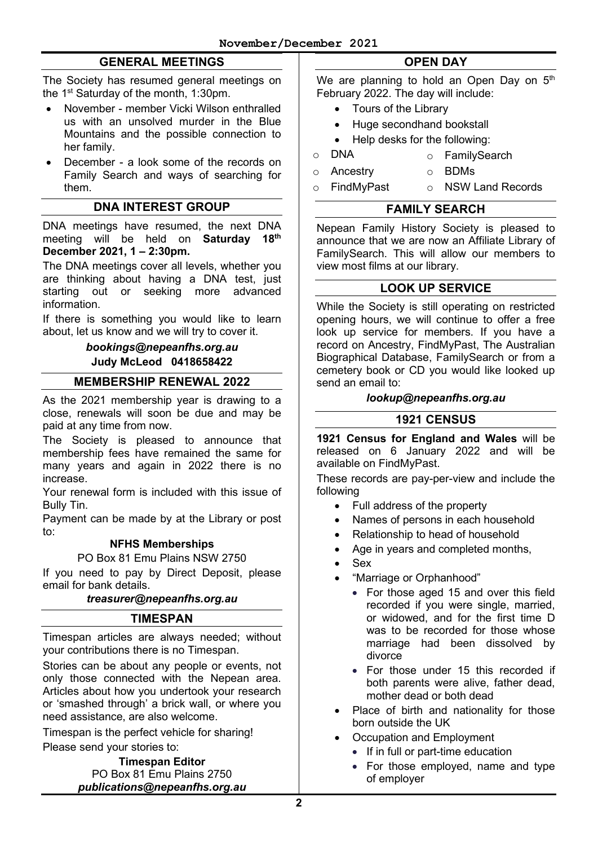## **GENERAL MEETINGS**

The Society has resumed general meetings on the 1<sup>st</sup> Saturday of the month, 1:30pm.

- November member Vicki Wilson enthralled us with an unsolved murder in the Blue Mountains and the possible connection to her family.
- December a look some of the records on Family Search and ways of searching for them.

#### **DNA INTEREST GROUP**

DNA meetings have resumed, the next DNA meeting will be held on **Saturday 18th December 2021, 1 – 2:30pm.**

The DNA meetings cover all levels, whether you are thinking about having a DNA test, just starting out or seeking more advanced information.

If there is something you would like to learn about, let us know and we will try to cover it.

#### *[bookings@nepeanfhs.org.au](mailto:bookings@nepeanfhs.org.au)* **Judy McLeod 0418658422**

#### **MEMBERSHIP RENEWAL 2022**

As the 2021 membership year is drawing to a close, renewals will soon be due and may be paid at any time from now.

The Society is pleased to announce that membership fees have remained the same for many years and again in 2022 there is no increase.

Your renewal form is included with this issue of Bully Tin.

Payment can be made by at the Library or post to:

#### **NFHS Memberships**

PO Box 81 Emu Plains NSW 2750

If you need to pay by Direct Deposit, please email for bank details.

#### *[treasurer@nepeanfhs.org.au](mailto:treasurer@nepeanfhs.org.au)*

#### **TIMESPAN**

Timespan articles are always needed; without your contributions there is no Timespan.

Stories can be about any people or events, not only those connected with the Nepean area. Articles about how you undertook your research or 'smashed through' a brick wall, or where you need assistance, are also welcome.

Timespan is the perfect vehicle for sharing!

Please send your stories to:

**Timespan Editor** PO Box 81 Emu Plains 2750 *[publications@nepeanfhs.org.au](mailto:publications@nepeanfhs.org.au)*

### **OPEN DAY**

We are planning to hold an Open Day on  $5<sup>th</sup>$ February 2022. The day will include:

- Tours of the Library
- Huge secondhand bookstall
- Help desks for the following:
- o DNA o FamilySearch<br>o Ancestry o BDMs
	-
- o Ancestry o o<br>o FindMyPast o  $\circ$  NSW Land Records

### **FAMILY SEARCH**

Nepean Family History Society is pleased to announce that we are now an Affiliate Library of FamilySearch. This will allow our members to view most films at our library.

#### **LOOK UP SERVICE**

While the Society is still operating on restricted opening hours, we will continue to offer a free look up service for members. If you have a record on Ancestry, FindMyPast, The Australian Biographical Database, FamilySearch or from a cemetery book or CD you would like looked up send an email to:

#### *[lookup@nepeanfhs.org.au](mailto:lookup@nepeanfhs.org.au)*

### **1921 CENSUS**

**1921 Census for England and Wales** will be released on 6 January 2022 and will be available on FindMyPast.

These records are pay-per-view and include the following

- Full address of the property
- Names of persons in each household
- Relationship to head of household
- Age in years and completed months,
- Sex
	- "Marriage or Orphanhood"
		- For those aged 15 and over this field recorded if you were single, married, or widowed, and for the first time D was to be recorded for those whose marriage had been dissolved by divorce
		- For those under 15 this recorded if both parents were alive, father dead, mother dead or both dead
- Place of birth and nationality for those born outside the UK
- Occupation and Employment
	- If in full or part-time education
	- For those employed, name and type of employer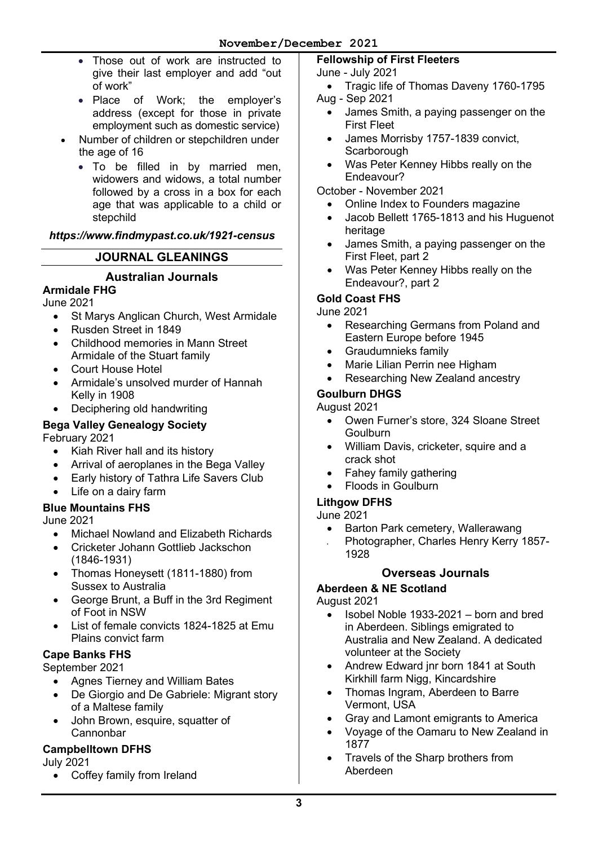- Those out of work are instructed to give their last employer and add "out of work"
- Place of Work; the employer's address (except for those in private employment such as domestic service)
- Number of children or stepchildren under the age of 16
	- To be filled in by married men, widowers and widows, a total number followed by a cross in a box for each age that was applicable to a child or stepchild

## *https://www.findmypast.co.uk/1921-census*

## **JOURNAL GLEANINGS**

### **Australian Journals**

## **Armidale FHG**

June 2021

- St Marys Anglican Church, West Armidale
- Rusden Street in 1849
- Childhood memories in Mann Street Armidale of the Stuart family
- Court House Hotel
- Armidale's unsolved murder of Hannah Kelly in 1908
- Deciphering old handwriting

#### **Bega Valley Genealogy Society**  February 2021

- Kiah River hall and its history
- Arrival of aeroplanes in the Bega Valley
- Early history of Tathra Life Savers Club
- Life on a dairy farm

## **Blue Mountains FHS**

June 2021

- Michael Nowland and Elizabeth Richards
- Cricketer Johann Gottlieb Jackschon (1846-1931)
- Thomas Honeysett (1811-1880) from Sussex to Australia
- George Brunt, a Buff in the 3rd Regiment of Foot in NSW
- List of female convicts 1824-1825 at Emu Plains convict farm

## **Cape Banks FHS**

September 2021

- Agnes Tierney and William Bates
- De Giorgio and De Gabriele: Migrant story of a Maltese family
- John Brown, esquire, squatter of **Cannonbar**

## **Campbelltown DFHS**

July 2021

• Coffey family from Ireland

# **Fellowship of First Fleeters**

### June - July 2021

- Tragic life of Thomas Daveny 1760-1795 Aug - Sep 2021
	- James Smith, a paying passenger on the First Fleet
	- James Morrisby 1757-1839 convict, **Scarborough**
	- Was Peter Kenney Hibbs really on the Endeavour?

October - November 2021

- Online Index to Founders magazine
- Jacob Bellett 1765-1813 and his Huguenot heritage
- James Smith, a paying passenger on the First Fleet, part 2
- Was Peter Kenney Hibbs really on the Endeavour?, part 2

## **Gold Coast FHS**

June 2021

- Researching Germans from Poland and Eastern Europe before 1945
- Graudumnieks family
- Marie Lilian Perrin nee Higham
- Researching New Zealand ancestry

## **Goulburn DHGS**

#### August 2021

- Owen Furner's store, 324 Sloane Street **Goulburn**
- William Davis, cricketer, squire and a crack shot
- Fahey family gathering
- Floods in Goulburn

## **Lithgow DFHS**

1928

#### June 2021

• Barton Park cemetery, Wallerawang • Photographer, Charles Henry Kerry 1857-

## **Overseas Journals**

## **Aberdeen & NE Scotland**

August 2021

- Isobel Noble 1933-2021 born and bred in Aberdeen. Siblings emigrated to Australia and New Zealand. A dedicated volunteer at the Society
- Andrew Edward inr born 1841 at South Kirkhill farm Nigg, Kincardshire
- Thomas Ingram, Aberdeen to Barre Vermont, USA
- Gray and Lamont emigrants to America
- Voyage of the Oamaru to New Zealand in 1877
- Travels of the Sharp brothers from Aberdeen